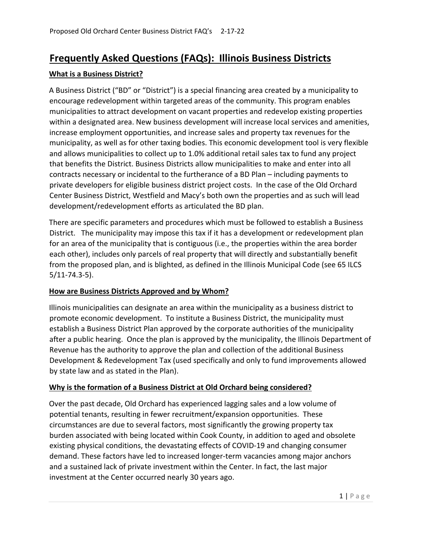# **Frequently Asked Questions (FAQs): Illinois Business Districts**

## **What is a Business District?**

A Business District ("BD" or "District") is a special financing area created by a municipality to encourage redevelopment within targeted areas of the community. This program enables municipalities to attract development on vacant properties and redevelop existing properties within a designated area. New business development will increase local services and amenities, increase employment opportunities, and increase sales and property tax revenues for the municipality, as well as for other taxing bodies. This economic development tool is very flexible and allows municipalities to collect up to 1.0% additional retail sales tax to fund any project that benefits the District. Business Districts allow municipalities to make and enter into all contracts necessary or incidental to the furtherance of a BD Plan – including payments to private developers for eligible business district project costs. In the case of the Old Orchard Center Business District, Westfield and Macy's both own the properties and as such will lead development/redevelopment efforts as articulated the BD plan.

There are specific parameters and procedures which must be followed to establish a Business District. The municipality may impose this tax if it has a development or redevelopment plan for an area of the municipality that is contiguous (i.e., the properties within the area border each other), includes only parcels of real property that will directly and substantially benefit from the proposed plan, and is blighted, as defined in the Illinois Municipal Code (see 65 ILCS 5/11-74.3-5).

## **How are Business Districts Approved and by Whom?**

Illinois municipalities can designate an area within the municipality as a business district to promote economic development. To institute a Business District, the municipality must establish a Business District Plan approved by the corporate authorities of the municipality after a public hearing. Once the plan is approved by the municipality, the Illinois Department of Revenue has the authority to approve the plan and collection of the additional Business Development & Redevelopment Tax (used specifically and only to fund improvements allowed by state law and as stated in the Plan).

### **Why is the formation of a Business District at Old Orchard being considered?**

Over the past decade, Old Orchard has experienced lagging sales and a low volume of potential tenants, resulting in fewer recruitment/expansion opportunities. These circumstances are due to several factors, most significantly the growing property tax burden associated with being located within Cook County, in addition to aged and obsolete existing physical conditions, the devastating effects of COVID-19 and changing consumer demand. These factors have led to increased longer-term vacancies among major anchors and a sustained lack of private investment within the Center. In fact, the last major investment at the Center occurred nearly 30 years ago.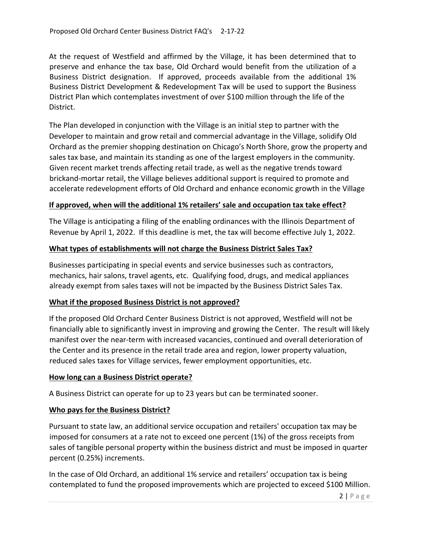At the request of Westfield and affirmed by the Village, it has been determined that to preserve and enhance the tax base, Old Orchard would benefit from the utilization of a Business District designation. If approved, proceeds available from the additional 1% Business District Development & Redevelopment Tax will be used to support the Business District Plan which contemplates investment of over \$100 million through the life of the District.

The Plan developed in conjunction with the Village is an initial step to partner with the Developer to maintain and grow retail and commercial advantage in the Village, solidify Old Orchard as the premier shopping destination on Chicago's North Shore, grow the property and sales tax base, and maintain its standing as one of the largest employers in the community. Given recent market trends affecting retail trade, as well as the negative trends toward brickand-mortar retail, the Village believes additional support is required to promote and accelerate redevelopment efforts of Old Orchard and enhance economic growth in the Village

### **If approved, when will the additional 1% retailers' sale and occupation tax take effect?**

The Village is anticipating a filing of the enabling ordinances with the Illinois Department of Revenue by April 1, 2022. If this deadline is met, the tax will become effective July 1, 2022.

### **What types of establishments will not charge the Business District Sales Tax?**

Businesses participating in special events and service businesses such as contractors, mechanics, hair salons, travel agents, etc. Qualifying food, drugs, and medical appliances already exempt from sales taxes will not be impacted by the Business District Sales Tax.

#### **What if the proposed Business District is not approved?**

If the proposed Old Orchard Center Business District is not approved, Westfield will not be financially able to significantly invest in improving and growing the Center. The result will likely manifest over the near-term with increased vacancies, continued and overall deterioration of the Center and its presence in the retail trade area and region, lower property valuation, reduced sales taxes for Village services, fewer employment opportunities, etc.

#### **How long can a Business District operate?**

A Business District can operate for up to 23 years but can be terminated sooner.

### **Who pays for the Business District?**

Pursuant to state law, an additional service occupation and retailers' occupation tax may be imposed for consumers at a rate not to exceed one percent (1%) of the gross receipts from sales of tangible personal property within the business district and must be imposed in quarter percent (0.25%) increments.

In the case of Old Orchard, an additional 1% service and retailers' occupation tax is being contemplated to fund the proposed improvements which are projected to exceed \$100 Million.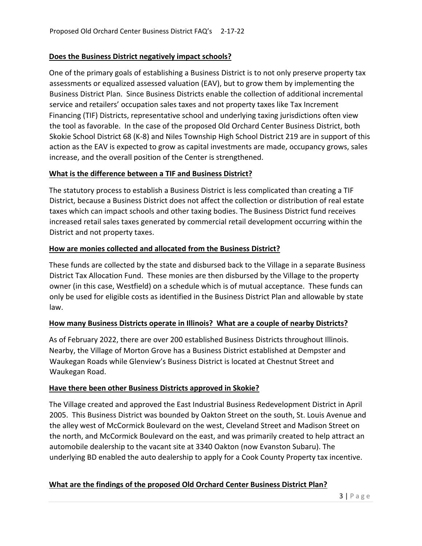## **Does the Business District negatively impact schools?**

One of the primary goals of establishing a Business District is to not only preserve property tax assessments or equalized assessed valuation (EAV), but to grow them by implementing the Business District Plan. Since Business Districts enable the collection of additional incremental service and retailers' occupation sales taxes and not property taxes like Tax Increment Financing (TIF) Districts, representative school and underlying taxing jurisdictions often view the tool as favorable. In the case of the proposed Old Orchard Center Business District, both Skokie School District 68 (K-8) and Niles Township High School District 219 are in support of this action as the EAV is expected to grow as capital investments are made, occupancy grows, sales increase, and the overall position of the Center is strengthened.

### **What is the difference between a TIF and Business District?**

The statutory process to establish a Business District is less complicated than creating a TIF District, because a Business District does not affect the collection or distribution of real estate taxes which can impact schools and other taxing bodies. The Business District fund receives increased retail sales taxes generated by commercial retail development occurring within the District and not property taxes.

## **How are monies collected and allocated from the Business District?**

These funds are collected by the state and disbursed back to the Village in a separate Business District Tax Allocation Fund. These monies are then disbursed by the Village to the property owner (in this case, Westfield) on a schedule which is of mutual acceptance. These funds can only be used for eligible costs as identified in the Business District Plan and allowable by state law.

### **How many Business Districts operate in Illinois? What are a couple of nearby Districts?**

As of February 2022, there are over 200 established Business Districts throughout Illinois. Nearby, the Village of Morton Grove has a Business District established at Dempster and Waukegan Roads while Glenview's Business District is located at Chestnut Street and Waukegan Road.

### **Have there been other Business Districts approved in Skokie?**

The Village created and approved the East Industrial Business Redevelopment District in April 2005. This Business District was bounded by Oakton Street on the south, St. Louis Avenue and the alley west of McCormick Boulevard on the west, Cleveland Street and Madison Street on the north, and McCormick Boulevard on the east, and was primarily created to help attract an automobile dealership to the vacant site at 3340 Oakton (now Evanston Subaru). The underlying BD enabled the auto dealership to apply for a Cook County Property tax incentive.

### **What are the findings of the proposed Old Orchard Center Business District Plan?**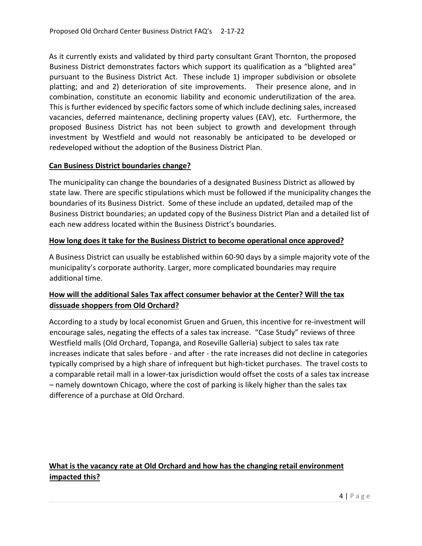As it currently exists and validated by third party consultant Grant Thornton, the proposed Business District demonstrates factors which support its qualification as a "blighted area" pursuant to the Business District Act. These include 1) improper subdivision or obsolete platting; and and 2) deterioration of site improvements. Their presence alone, and in combination, constitute an economic liability and economic underutilization of the area. This is further evidenced by specific factors some of which include declining sales, increased vacancies, deferred maintenance, declining property values (EAV), etc. Furthermore, the proposed Business District has not been subject to growth and development through investment by Westfield and would not reasonably be anticipated to be developed or redeveloped without the adoption of the Business District Plan.

### **Can Business District boundaries change?**

The municipality can change the boundaries of a designated Business District as allowed by state law. There are specific stipulations which must be followed if the municipality changes the boundaries of its Business District. Some of these include an updated, detailed map of the Business District boundaries; an updated copy of the Business District Plan and a detailed list of each new address located within the Business District's boundaries.

### **How long does it take for the Business District to become operational once approved?**

A Business District can usually be established within 60-90 days by a simple majority vote of the municipality's corporate authority. Larger, more complicated boundaries may require additional time.

# **How will the additional Sales Tax affect consumer behavior at the Center? Will the tax dissuade shoppers from Old Orchard?**

According to a study by local economist Gruen and Gruen, this incentive for re-investment will encourage sales, negating the effects of a sales tax increase. "Case Study" reviews of three Westfield malls (Old Orchard, Topanga, and Roseville Galleria) subject to sales tax rate increases indicate that sales before - and after - the rate increases did not decline in categories typically comprised by a high share of infrequent but high-ticket purchases. The travel costs to a comparable retail mall in a lower-tax jurisdiction would offset the costs of a sales tax increase – namely downtown Chicago, where the cost of parking is likely higher than the sales tax difference of a purchase at Old Orchard.

# **What is the vacancy rate at Old Orchard and how has the changing retail environment impacted this?**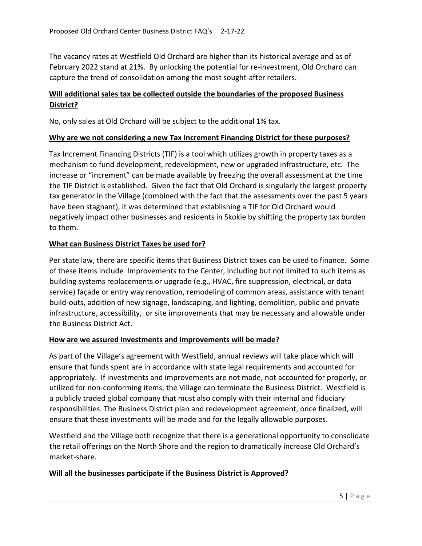The vacancy rates at Westfield Old Orchard are higher than its historical average and as of February 2022 stand at 21%. By unlocking the potential for re-investment, Old Orchard can capture the trend of consolidation among the most sought-after retailers.

# **Will additional sales tax be collected outside the boundaries of the proposed Business District?**

No, only sales at Old Orchard will be subject to the additional 1% tax.

#### **Why are we not considering a new Tax Increment Financing District for these purposes?**

Tax Increment Financing Districts (TIF) is a tool which utilizes growth in property taxes as a mechanism to fund development, redevelopment, new or upgraded infrastructure, etc. The increase or "increment" can be made available by freezing the overall assessment at the time the TIF District is established. Given the fact that Old Orchard is singularly the largest property tax generator in the Village (combined with the fact that the assessments over the past 5 years have been stagnant), it was determined that establishing a TIF for Old Orchard would negatively impact other businesses and residents in Skokie by shifting the property tax burden to them.

### **What can Business District Taxes be used for?**

Per state law, there are specific items that Business District taxes can be used to finance. Some of these items include Improvements to the Center, including but not limited to such items as building systems replacements or upgrade (e.g., HVAC, fire suppression, electrical, or data service) façade or entry way renovation, remodeling of common areas, assistance with tenant build-outs, addition of new signage, landscaping, and lighting, demolition, public and private infrastructure, accessibility, or site improvements that may be necessary and allowable under the Business District Act.

### **How are we assured investments and improvements will be made?**

As part of the Village's agreement with Westfield, annual reviews will take place which will ensure that funds spent are in accordance with state legal requirements and accounted for appropriately. If investments and improvements are not made, not accounted for properly, or utilized for non-conforming items, the Village can terminate the Business District. Westfield is a publicly traded global company that must also comply with their internal and fiduciary responsibilities. The Business District plan and redevelopment agreement, once finalized, will ensure that these investments will be made and for the legally allowable purposes.

Westfield and the Village both recognize that there is a generational opportunity to consolidate the retail offerings on the North Shore and the region to dramatically increase Old Orchard's market-share.

### **Will all the businesses participate if the Business District is Approved?**